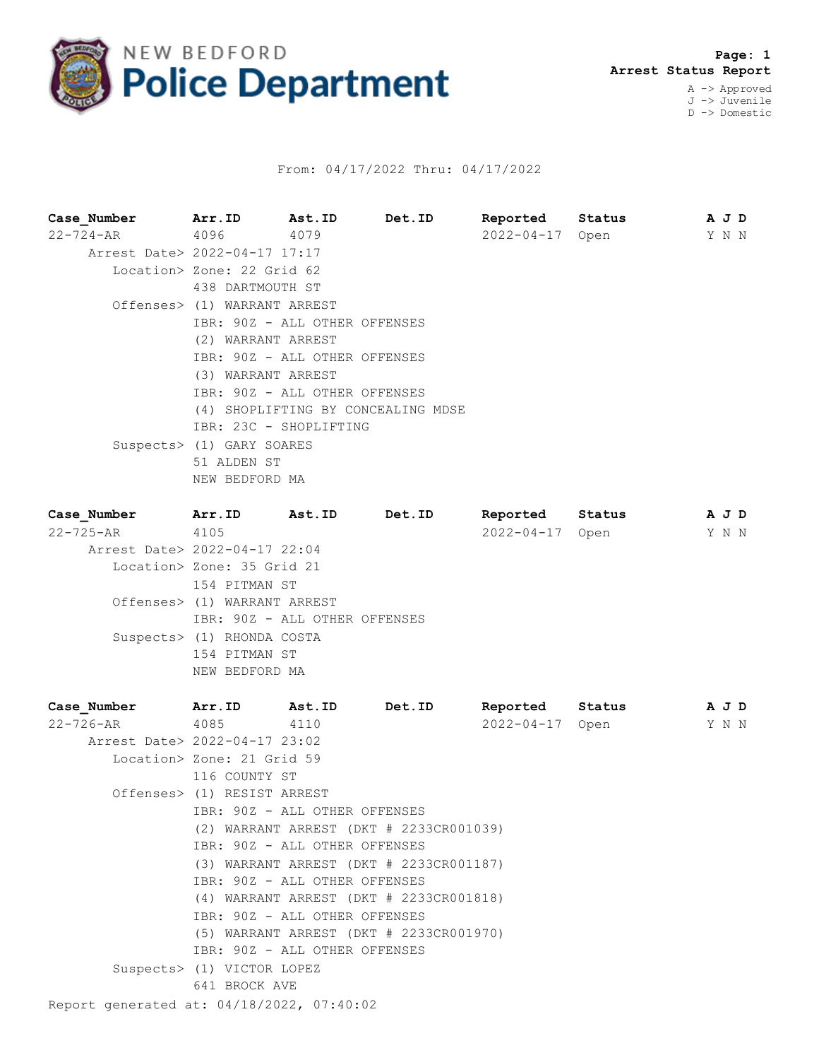

## From: 04/17/2022 Thru: 04/17/2022

**Case\_Number Arr.ID Ast.ID Det.ID Reported Status A J D** 22-724-AR 4096 4079 2022-04-17 Open Y N N Arrest Date> 2022-04-17 17:17 Location> Zone: 22 Grid 62 438 DARTMOUTH ST Offenses> (1) WARRANT ARREST IBR: 90Z - ALL OTHER OFFENSES (2) WARRANT ARREST IBR: 90Z - ALL OTHER OFFENSES (3) WARRANT ARREST IBR: 90Z - ALL OTHER OFFENSES (4) SHOPLIFTING BY CONCEALING MDSE IBR: 23C - SHOPLIFTING Suspects> (1) GARY SOARES 51 ALDEN ST NEW BEDFORD MA **Case\_Number Arr.ID Ast.ID Det.ID Reported Status A J D**

| Case Number Aff.ID            |                               | AS C. ID | Det.ID | Reported Status | <b>AUD</b> |  |
|-------------------------------|-------------------------------|----------|--------|-----------------|------------|--|
| $22 - 725 - AR$               | 4105                          |          |        | 2022-04-17 Open | Y N N      |  |
| Arrest Date> 2022-04-17 22:04 |                               |          |        |                 |            |  |
|                               | Location> Zone: 35 Grid 21    |          |        |                 |            |  |
|                               | 154 PITMAN ST                 |          |        |                 |            |  |
|                               | Offenses> (1) WARRANT ARREST  |          |        |                 |            |  |
|                               | IBR: 90Z - ALL OTHER OFFENSES |          |        |                 |            |  |
|                               | Suspects> (1) RHONDA COSTA    |          |        |                 |            |  |
|                               | 154 PITMAN ST                 |          |        |                 |            |  |
|                               | NEW BEDFORD MA                |          |        |                 |            |  |
|                               |                               |          |        |                 |            |  |

| Case Number                               | Arr.ID                        | Ast.ID                        | Det.ID                                  | Reported        | Status | A J D |  |  |  |  |
|-------------------------------------------|-------------------------------|-------------------------------|-----------------------------------------|-----------------|--------|-------|--|--|--|--|
| 22-726-AR                                 | 4085                          | 4110                          |                                         | 2022-04-17 Open |        | Y N N |  |  |  |  |
| Arrest Date> 2022-04-17 23:02             |                               |                               |                                         |                 |        |       |  |  |  |  |
|                                           | Location> Zone: 21 Grid 59    |                               |                                         |                 |        |       |  |  |  |  |
|                                           | 116 COUNTY ST                 |                               |                                         |                 |        |       |  |  |  |  |
|                                           | Offenses> (1) RESIST ARREST   |                               |                                         |                 |        |       |  |  |  |  |
|                                           | IBR: 90Z - ALL OTHER OFFENSES |                               |                                         |                 |        |       |  |  |  |  |
|                                           |                               |                               | (2) WARRANT ARREST (DKT # 2233CR001039) |                 |        |       |  |  |  |  |
|                                           |                               | IBR: 90Z - ALL OTHER OFFENSES |                                         |                 |        |       |  |  |  |  |
|                                           |                               |                               | (3) WARRANT ARREST (DKT # 2233CR001187) |                 |        |       |  |  |  |  |
|                                           | IBR: 90Z - ALL OTHER OFFENSES |                               |                                         |                 |        |       |  |  |  |  |
|                                           |                               |                               | (4) WARRANT ARREST (DKT # 2233CR001818) |                 |        |       |  |  |  |  |
|                                           |                               | IBR: 90Z - ALL OTHER OFFENSES |                                         |                 |        |       |  |  |  |  |
|                                           |                               |                               | (5) WARRANT ARREST (DKT # 2233CR001970) |                 |        |       |  |  |  |  |
|                                           |                               | IBR: 90Z - ALL OTHER OFFENSES |                                         |                 |        |       |  |  |  |  |
|                                           | Suspects> (1) VICTOR LOPEZ    |                               |                                         |                 |        |       |  |  |  |  |
|                                           | 641 BROCK AVE                 |                               |                                         |                 |        |       |  |  |  |  |
| Report generated at: 04/18/2022, 07:40:02 |                               |                               |                                         |                 |        |       |  |  |  |  |